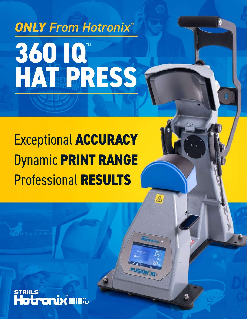# **360 IQ**™ **HAT PRESS** *ONLY From Hotronix ®*

## Exceptional **ACCURACY** Dynamic **PRINT RANGE** Professional **RESULTS**

⚠

O

**ONİX ALINER**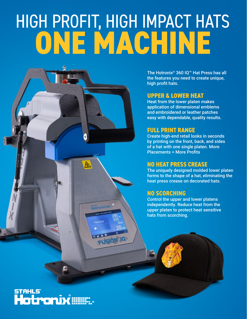# HIGH PROFIT, HIGH IMPACT HATS **ONE MACHINE**



FlexStyle

The Hotronix® 360 IQ™ Hat Press has all the features you need to create unique, high profit hats.

#### **UPPER & LOWER HEAT**

Heat from the lower platen makes application of dimensional emblems and embroidered or leather patches easy with dependable, quality results.

#### **FULL PRINT RANGE**

Create high-end retail looks in seconds by printing on the front, back, and sides of a hat with one single platen. More Placements = More Profits

#### **NO HEAT PRESS CREASE**

The uniquely designed molded lower platen forms to the shape of a hat, eliminating the heat press crease on decorated hats.

#### **NO SCORCHING**

Control the upper and lower platens independently. Reduce heat from the upper platen to protect heat sensitive hats from scorching.

#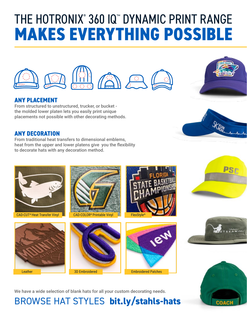## THE HOTRONIX<sup>®</sup> 360 IQ™ DYNAMIC PRINT RANGE **MAKES EVERYTHING POSSIBLE**



### **ANY PLACEMENT**

From structured to unstructured, trucker, or bucket the molded lower platen lets you easily print unique placements not possible with other decorating methods.

#### **ANY DECORATION**

From traditional heat transfers to dimensional emblems, heat from the upper and lower platens give you the flexibility to decorate hats with any decoration method.





















We have a wide selection of blank hats for all your custom decorating needs.

### BROWSE HAT STYLES **bit.ly/stahls-hats**